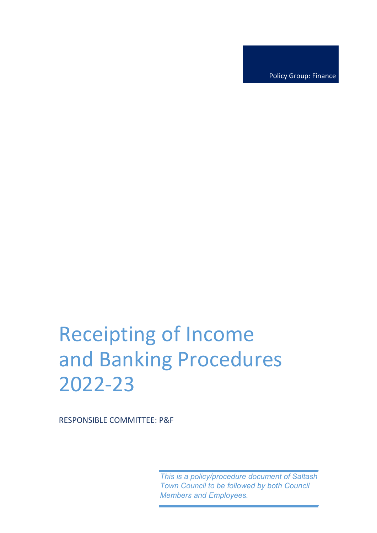Policy Group: Finance

# Receipting of Income and Banking Procedures 2022-23

RESPONSIBLE COMMITTEE: P&F

*This is a policy/procedure document of Saltash Town Council to be followed by both Council Members and Employees.*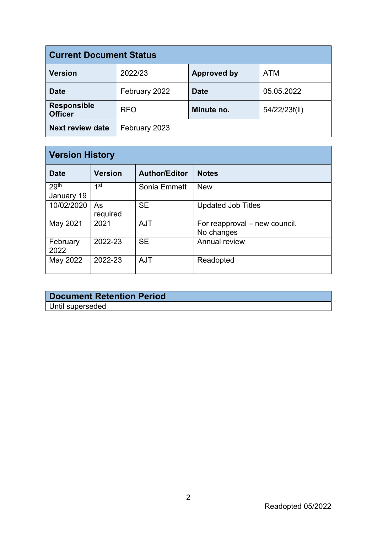| <b>Current Document Status</b>       |               |                    |               |  |  |
|--------------------------------------|---------------|--------------------|---------------|--|--|
| Version                              | 2022/23       | <b>Approved by</b> | <b>ATM</b>    |  |  |
| <b>Date</b>                          | February 2022 | <b>Date</b>        | 05.05.2022    |  |  |
| <b>Responsible</b><br><b>Officer</b> | <b>RFO</b>    | Minute no.         | 54/22/23f(ii) |  |  |
| <b>Next review date</b>              | February 2023 |                    |               |  |  |

| <b>Version History</b>         |                |                      |                                             |  |
|--------------------------------|----------------|----------------------|---------------------------------------------|--|
| <b>Date</b>                    | <b>Version</b> | <b>Author/Editor</b> | <b>Notes</b>                                |  |
| 29 <sup>th</sup><br>January 19 | 1st            | Sonia Emmett         | <b>New</b>                                  |  |
| 10/02/2020                     | As<br>required | <b>SE</b>            | <b>Updated Job Titles</b>                   |  |
| May 2021                       | 2021           | <b>AJT</b>           | For reapproval – new council.<br>No changes |  |
| February<br>2022               | 2022-23        | <b>SE</b>            | Annual review                               |  |
| May 2022                       | 2022-23        | <b>AJT</b>           | Readopted                                   |  |

# **Document Retention Period** Until superseded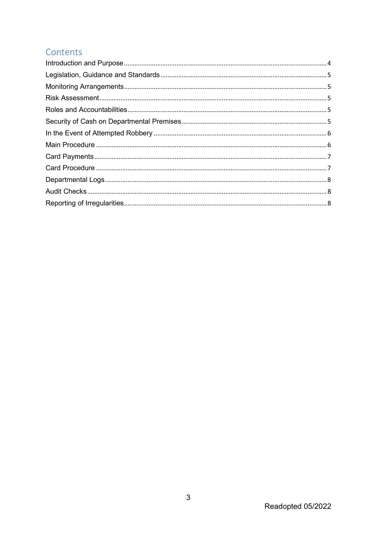# Contents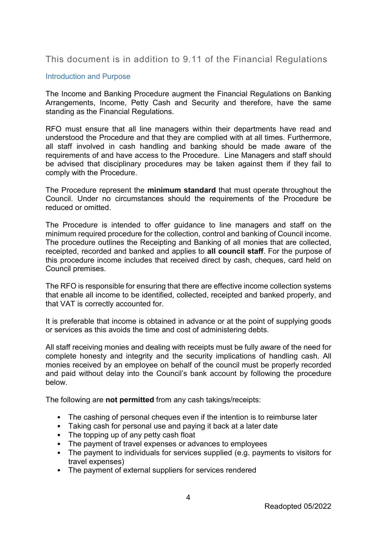### This document is in addition to 9.11 of the Financial Regulations

#### <span id="page-3-0"></span>Introduction and Purpose

The Income and Banking Procedure augment the Financial Regulations on Banking Arrangements, Income, Petty Cash and Security and therefore, have the same standing as the Financial Regulations.

RFO must ensure that all line managers within their departments have read and understood the Procedure and that they are complied with at all times. Furthermore, all staff involved in cash handling and banking should be made aware of the requirements of and have access to the Procedure. Line Managers and staff should be advised that disciplinary procedures may be taken against them if they fail to comply with the Procedure.

The Procedure represent the **minimum standard** that must operate throughout the Council. Under no circumstances should the requirements of the Procedure be reduced or omitted.

The Procedure is intended to offer guidance to line managers and staff on the minimum required procedure for the collection, control and banking of Council income. The procedure outlines the Receipting and Banking of all monies that are collected, receipted, recorded and banked and applies to **all council staff**. For the purpose of this procedure income includes that received direct by cash, cheques, card held on Council premises.

The RFO is responsible for ensuring that there are effective income collection systems that enable all income to be identified, collected, receipted and banked properly, and that VAT is correctly accounted for.

It is preferable that income is obtained in advance or at the point of supplying goods or services as this avoids the time and cost of administering debts.

All staff receiving monies and dealing with receipts must be fully aware of the need for complete honesty and integrity and the security implications of handling cash. All monies received by an employee on behalf of the council must be properly recorded and paid without delay into the Council's bank account by following the procedure below.

The following are **not permitted** from any cash takings/receipts:

- The cashing of personal cheques even if the intention is to reimburse later
- Taking cash for personal use and paying it back at a later date
- The topping up of any petty cash float
- The payment of travel expenses or advances to employees
- The payment to individuals for services supplied (e.g. payments to visitors for travel expenses)
- The payment of external suppliers for services rendered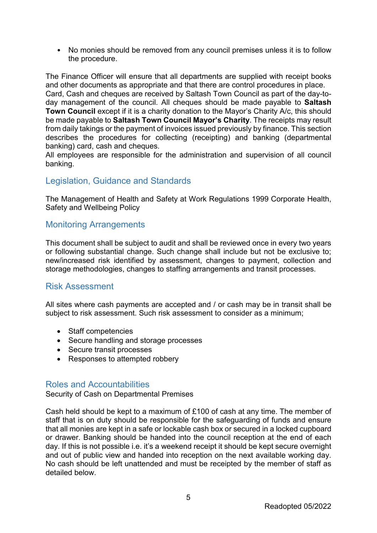• No monies should be removed from any council premises unless it is to follow the procedure.

The Finance Officer will ensure that all departments are supplied with receipt books and other documents as appropriate and that there are control procedures in place. Card, Cash and cheques are received by Saltash Town Council as part of the day-today management of the council. All cheques should be made payable to **Saltash Town Council** except if it is a charity donation to the Mayor's Charity A/c, this should be made payable to **Saltash Town Council Mayor's Charity**. The receipts may result from daily takings or the payment of invoices issued previously by finance. This section describes the procedures for collecting (receipting) and banking (departmental banking) card, cash and cheques.

All employees are responsible for the administration and supervision of all council banking.

### <span id="page-4-0"></span>Legislation, Guidance and Standards

The Management of Health and Safety at Work Regulations 1999 Corporate Health, Safety and Wellbeing Policy

#### <span id="page-4-1"></span>Monitoring Arrangements

This document shall be subject to audit and shall be reviewed once in every two years or following substantial change. Such change shall include but not be exclusive to; new/increased risk identified by assessment, changes to payment, collection and storage methodologies, changes to staffing arrangements and transit processes.

#### <span id="page-4-2"></span>Risk Assessment

All sites where cash payments are accepted and / or cash may be in transit shall be subject to risk assessment. Such risk assessment to consider as a minimum;

- Staff competencies
- Secure handling and storage processes
- Secure transit processes
- Responses to attempted robbery

#### <span id="page-4-3"></span>Roles and Accountabilities

<span id="page-4-4"></span>Security of Cash on Departmental Premises

Cash held should be kept to a maximum of £100 of cash at any time. The member of staff that is on duty should be responsible for the safeguarding of funds and ensure that all monies are kept in a safe or lockable cash box or secured in a locked cupboard or drawer. Banking should be handed into the council reception at the end of each day. If this is not possible i.e. it's a weekend receipt it should be kept secure overnight and out of public view and handed into reception on the next available working day. No cash should be left unattended and must be receipted by the member of staff as detailed below.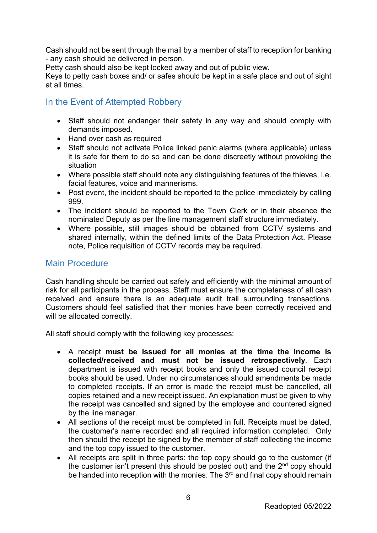Cash should not be sent through the mail by a member of staff to reception for banking - any cash should be delivered in person.

Petty cash should also be kept locked away and out of public view.

Keys to petty cash boxes and/ or safes should be kept in a safe place and out of sight at all times.

# <span id="page-5-0"></span>In the Event of Attempted Robbery

- Staff should not endanger their safety in any way and should comply with demands imposed.
- Hand over cash as required
- Staff should not activate Police linked panic alarms (where applicable) unless it is safe for them to do so and can be done discreetly without provoking the situation
- Where possible staff should note any distinguishing features of the thieves, i.e. facial features, voice and mannerisms.
- Post event, the incident should be reported to the police immediately by calling 999.
- The incident should be reported to the Town Clerk or in their absence the nominated Deputy as per the line management staff structure immediately.
- Where possible, still images should be obtained from CCTV systems and shared internally, within the defined limits of the Data Protection Act. Please note, Police requisition of CCTV records may be required.

# <span id="page-5-1"></span>Main Procedure

Cash handling should be carried out safely and efficiently with the minimal amount of risk for all participants in the process. Staff must ensure the completeness of all cash received and ensure there is an adequate audit trail surrounding transactions. Customers should feel satisfied that their monies have been correctly received and will be allocated correctly.

All staff should comply with the following key processes:

- A receipt **must be issued for all monies at the time the income is collected/received and must not be issued retrospectively**. Each department is issued with receipt books and only the issued council receipt books should be used. Under no circumstances should amendments be made to completed receipts. If an error is made the receipt must be cancelled, all copies retained and a new receipt issued. An explanation must be given to why the receipt was cancelled and signed by the employee and countered signed by the line manager.
- All sections of the receipt must be completed in full. Receipts must be dated, the customer's name recorded and all required information completed. Only then should the receipt be signed by the member of staff collecting the income and the top copy issued to the customer.
- All receipts are split in three parts: the top copy should go to the customer (if the customer isn't present this should be posted out) and the  $2<sup>nd</sup>$  copy should be handed into reception with the monies. The 3<sup>rd</sup> and final copy should remain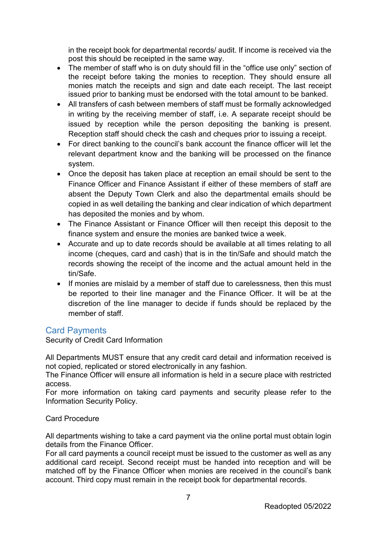in the receipt book for departmental records/ audit. If income is received via the post this should be receipted in the same way.

- The member of staff who is on duty should fill in the "office use only" section of the receipt before taking the monies to reception. They should ensure all monies match the receipts and sign and date each receipt. The last receipt issued prior to banking must be endorsed with the total amount to be banked.
- All transfers of cash between members of staff must be formally acknowledged in writing by the receiving member of staff, i.e. A separate receipt should be issued by reception while the person depositing the banking is present. Reception staff should check the cash and cheques prior to issuing a receipt.
- For direct banking to the council's bank account the finance officer will let the relevant department know and the banking will be processed on the finance system.
- Once the deposit has taken place at reception an email should be sent to the Finance Officer and Finance Assistant if either of these members of staff are absent the Deputy Town Clerk and also the departmental emails should be copied in as well detailing the banking and clear indication of which department has deposited the monies and by whom.
- The Finance Assistant or Finance Officer will then receipt this deposit to the finance system and ensure the monies are banked twice a week.
- Accurate and up to date records should be available at all times relating to all income (cheques, card and cash) that is in the tin/Safe and should match the records showing the receipt of the income and the actual amount held in the tin/Safe.
- If monies are mislaid by a member of staff due to carelessness, then this must be reported to their line manager and the Finance Officer. It will be at the discretion of the line manager to decide if funds should be replaced by the member of staff

# <span id="page-6-0"></span>Card Payments

Security of Credit Card Information

All Departments MUST ensure that any credit card detail and information received is not copied, replicated or stored electronically in any fashion.

The Finance Officer will ensure all information is held in a secure place with restricted access.

For more information on taking card payments and security please refer to the Information Security Policy.

#### <span id="page-6-1"></span>Card Procedure

All departments wishing to take a card payment via the online portal must obtain login details from the Finance Officer.

For all card payments a council receipt must be issued to the customer as well as any additional card receipt. Second receipt must be handed into reception and will be matched off by the Finance Officer when monies are received in the council's bank account. Third copy must remain in the receipt book for departmental records.